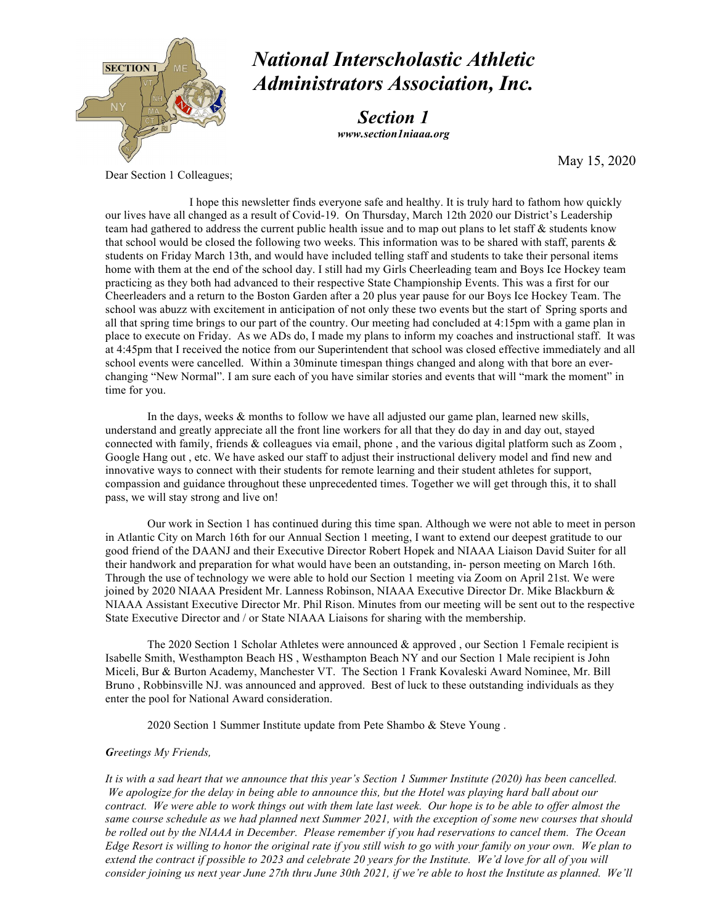

# *National Interscholastic Athletic Administrators Association, Inc.*

*Section 1 www.section1niaaa.org*

May 15, 2020

Dear Section 1 Colleagues;

I hope this newsletter finds everyone safe and healthy. It is truly hard to fathom how quickly our lives have all changed as a result of Covid-19. On Thursday, March 12th 2020 our District's Leadership team had gathered to address the current public health issue and to map out plans to let staff & students know that school would be closed the following two weeks. This information was to be shared with staff, parents  $\&$ students on Friday March 13th, and would have included telling staff and students to take their personal items home with them at the end of the school day. I still had my Girls Cheerleading team and Boys Ice Hockey team practicing as they both had advanced to their respective State Championship Events. This was a first for our Cheerleaders and a return to the Boston Garden after a 20 plus year pause for our Boys Ice Hockey Team. The school was abuzz with excitement in anticipation of not only these two events but the start of Spring sports and all that spring time brings to our part of the country. Our meeting had concluded at 4:15pm with a game plan in place to execute on Friday. As we ADs do, I made my plans to inform my coaches and instructional staff. It was at 4:45pm that I received the notice from our Superintendent that school was closed effective immediately and all school events were cancelled. Within a 30minute timespan things changed and along with that bore an everchanging "New Normal". I am sure each of you have similar stories and events that will "mark the moment" in time for you.

In the days, weeks & months to follow we have all adjusted our game plan, learned new skills, understand and greatly appreciate all the front line workers for all that they do day in and day out, stayed connected with family, friends & colleagues via email, phone , and the various digital platform such as Zoom , Google Hang out , etc. We have asked our staff to adjust their instructional delivery model and find new and innovative ways to connect with their students for remote learning and their student athletes for support, compassion and guidance throughout these unprecedented times. Together we will get through this, it to shall pass, we will stay strong and live on!

Our work in Section 1 has continued during this time span. Although we were not able to meet in person in Atlantic City on March 16th for our Annual Section 1 meeting, I want to extend our deepest gratitude to our good friend of the DAANJ and their Executive Director Robert Hopek and NIAAA Liaison David Suiter for all their handwork and preparation for what would have been an outstanding, in- person meeting on March 16th. Through the use of technology we were able to hold our Section 1 meeting via Zoom on April 21st. We were joined by 2020 NIAAA President Mr. Lanness Robinson, NIAAA Executive Director Dr. Mike Blackburn & NIAAA Assistant Executive Director Mr. Phil Rison. Minutes from our meeting will be sent out to the respective State Executive Director and / or State NIAAA Liaisons for sharing with the membership.

The 2020 Section 1 Scholar Athletes were announced & approved , our Section 1 Female recipient is Isabelle Smith, Westhampton Beach HS , Westhampton Beach NY and our Section 1 Male recipient is John Miceli, Bur & Burton Academy, Manchester VT. The Section 1 Frank Kovaleski Award Nominee, Mr. Bill Bruno , Robbinsville NJ. was announced and approved. Best of luck to these outstanding individuals as they enter the pool for National Award consideration.

2020 Section 1 Summer Institute update from Pete Shambo & Steve Young .

## *Greetings My Friends,*

*It is with a sad heart that we announce that this year's Section 1 Summer Institute (2020) has been cancelled. We apologize for the delay in being able to announce this, but the Hotel was playing hard ball about our contract. We were able to work things out with them late last week. Our hope is to be able to offer almost the same course schedule as we had planned next Summer 2021, with the exception of some new courses that should be rolled out by the NIAAA in December. Please remember if you had reservations to cancel them. The Ocean Edge Resort is willing to honor the original rate if you still wish to go with your family on your own. We plan to extend the contract if possible to 2023 and celebrate 20 years for the Institute. We'd love for all of you will consider joining us next year June 27th thru June 30th 2021, if we're able to host the Institute as planned. We'll*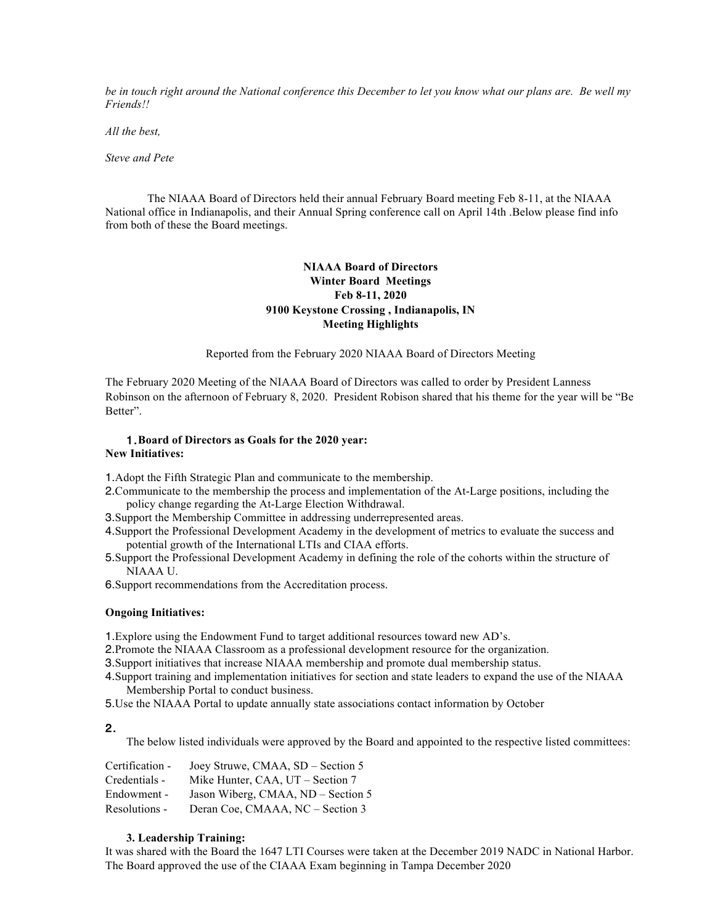*be in touch right around the National conference this December to let you know what our plans are. Be well my Friends!!* 

*All the best,* 

*Steve and Pete* 

The NIAAA Board of Directors held their annual February Board meeting Feb 8-11, at the NIAAA National office in Indianapolis, and their Annual Spring conference call on April 14th .Below please find info from both of these the Board meetings.

# **NIAAA Board of Directors Winter Board Meetings Feb 8-11, 2020 9100 Keystone Crossing , Indianapolis, IN Meeting Highlights**

Reported from the February 2020 NIAAA Board of Directors Meeting

The February 2020 Meeting of the NIAAA Board of Directors was called to order by President Lanness Robinson on the afternoon of February 8, 2020. President Robison shared that his theme for the year will be "Be Better".

## 1.**Board of Directors as Goals for the 2020 year: New Initiatives:**

1.Adopt the Fifth Strategic Plan and communicate to the membership.

- 2.Communicate to the membership the process and implementation of the At-Large positions, including the policy change regarding the At-Large Election Withdrawal.
- 3.Support the Membership Committee in addressing underrepresented areas.
- 4.Support the Professional Development Academy in the development of metrics to evaluate the success and potential growth of the International LTIs and CIAA efforts.
- 5.Support the Professional Development Academy in defining the role of the cohorts within the structure of NIAAA U.
- 6.Support recommendations from the Accreditation process.

## **Ongoing Initiatives:**

1.Explore using the Endowment Fund to target additional resources toward new AD's.

2.Promote the NIAAA Classroom as a professional development resource for the organization.

3.Support initiatives that increase NIAAA membership and promote dual membership status.

4.Support training and implementation initiatives for section and state leaders to expand the use of the NIAAA Membership Portal to conduct business.

5.Use the NIAAA Portal to update annually state associations contact information by October

## 2.

The below listed individuals were approved by the Board and appointed to the respective listed committees:

| Certification - | Joey Struwe, CMAA, SD - Section 5  |
|-----------------|------------------------------------|
| Credentials -   | Mike Hunter, CAA, UT – Section 7   |
| Endowment -     | Jason Wiberg, CMAA, ND – Section 5 |
| Resolutions -   | Deran Coe, CMAAA, NC – Section 3   |

# **3. Leadership Training:**

It was shared with the Board the 1647 LTI Courses were taken at the December 2019 NADC in National Harbor. The Board approved the use of the CIAAA Exam beginning in Tampa December 2020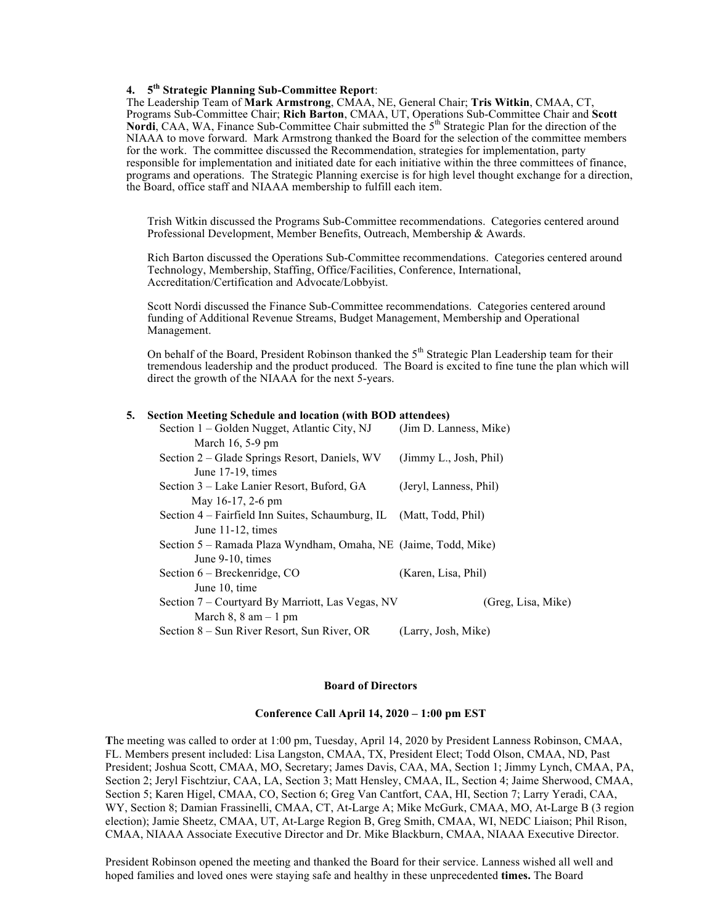# **4. 5th Strategic Planning Sub-Committee Report**:

The Leadership Team of **Mark Armstrong**, CMAA, NE, General Chair; **Tris Witkin**, CMAA, CT, Programs Sub-Committee Chair; **Rich Barton**, CMAA, UT, Operations Sub-Committee Chair and **Scott Nordi**, CAA, WA, Finance Sub-Committee Chair submitted the  $5<sup>th</sup>$  Strategic Plan for the direction of the NIAAA to move forward. Mark Armstrong thanked the Board for the selection of the committee members for the work. The committee discussed the Recommendation, strategies for implementation, party responsible for implementation and initiated date for each initiative within the three committees of finance, programs and operations. The Strategic Planning exercise is for high level thought exchange for a direction, the Board, office staff and NIAAA membership to fulfill each item.

Trish Witkin discussed the Programs Sub-Committee recommendations. Categories centered around Professional Development, Member Benefits, Outreach, Membership & Awards.

Rich Barton discussed the Operations Sub-Committee recommendations. Categories centered around Technology, Membership, Staffing, Office/Facilities, Conference, International, Accreditation/Certification and Advocate/Lobbyist.

Scott Nordi discussed the Finance Sub-Committee recommendations. Categories centered around funding of Additional Revenue Streams, Budget Management, Membership and Operational Management.

On behalf of the Board, President Robinson thanked the  $5<sup>th</sup>$  Strategic Plan Leadership team for their tremendous leadership and the product produced. The Board is excited to fine tune the plan which will direct the growth of the NIAAA for the next 5-years.

### **5. Section Meeting Schedule and location (with BOD attendees)**

| Section 1 – Golden Nugget, Atlantic City, NJ                        | (Jim D. Lanness, Mike) |
|---------------------------------------------------------------------|------------------------|
| March $16, 5-9$ pm                                                  |                        |
| Section 2 – Glade Springs Resort, Daniels, WV                       | (Jimmy L., Josh, Phil) |
| June 17-19, times                                                   |                        |
| Section 3 – Lake Lanier Resort, Buford, GA                          | (Jeryl, Lanness, Phil) |
| May 16-17, 2-6 pm                                                   |                        |
| Section 4 – Fairfield Inn Suites, Schaumburg, IL (Matt, Todd, Phil) |                        |
| June 11-12, times                                                   |                        |
| Section 5 – Ramada Plaza Wyndham, Omaha, NE (Jaime, Todd, Mike)     |                        |
| June 9-10, times                                                    |                        |
| Section $6$ – Breckenridge, CO                                      | (Karen, Lisa, Phil)    |
| June 10, time                                                       |                        |
| Section 7 – Courtyard By Marriott, Las Vegas, NV                    | (Greg, Lisa, Mike)     |
| March $8$ , $8$ am $-1$ pm                                          |                        |
| Section 8 – Sun River Resort, Sun River, OR                         | (Larry, Josh, Mike)    |

### **Board of Directors**

### **Conference Call April 14, 2020 – 1:00 pm EST**

**T**he meeting was called to order at 1:00 pm, Tuesday, April 14, 2020 by President Lanness Robinson, CMAA, FL. Members present included: Lisa Langston, CMAA, TX, President Elect; Todd Olson, CMAA, ND, Past President; Joshua Scott, CMAA, MO, Secretary; James Davis, CAA, MA, Section 1; Jimmy Lynch, CMAA, PA, Section 2; Jeryl Fischtziur, CAA, LA, Section 3; Matt Hensley, CMAA, IL, Section 4; Jaime Sherwood, CMAA, Section 5; Karen Higel, CMAA, CO, Section 6; Greg Van Cantfort, CAA, HI, Section 7; Larry Yeradi, CAA, WY, Section 8; Damian Frassinelli, CMAA, CT, At-Large A; Mike McGurk, CMAA, MO, At-Large B (3 region election); Jamie Sheetz, CMAA, UT, At-Large Region B, Greg Smith, CMAA, WI, NEDC Liaison; Phil Rison, CMAA, NIAAA Associate Executive Director and Dr. Mike Blackburn, CMAA, NIAAA Executive Director.

President Robinson opened the meeting and thanked the Board for their service. Lanness wished all well and hoped families and loved ones were staying safe and healthy in these unprecedented **times.** The Board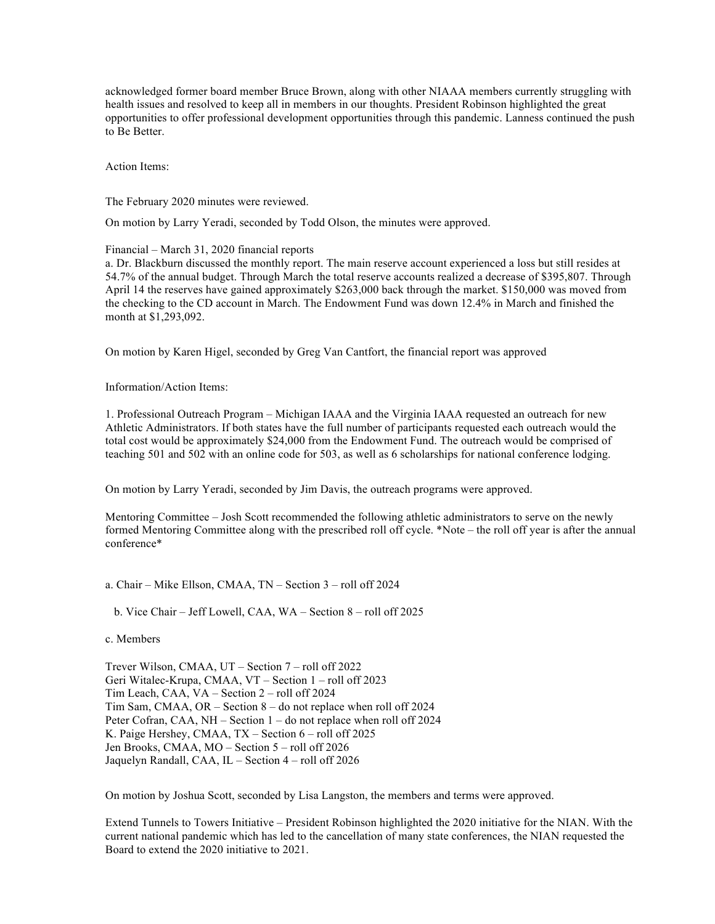acknowledged former board member Bruce Brown, along with other NIAAA members currently struggling with health issues and resolved to keep all in members in our thoughts. President Robinson highlighted the great opportunities to offer professional development opportunities through this pandemic. Lanness continued the push to Be Better.

Action Items:

The February 2020 minutes were reviewed.

On motion by Larry Yeradi, seconded by Todd Olson, the minutes were approved.

Financial – March 31, 2020 financial reports

a. Dr. Blackburn discussed the monthly report. The main reserve account experienced a loss but still resides at 54.7% of the annual budget. Through March the total reserve accounts realized a decrease of \$395,807. Through April 14 the reserves have gained approximately \$263,000 back through the market. \$150,000 was moved from the checking to the CD account in March. The Endowment Fund was down 12.4% in March and finished the month at \$1,293,092.

On motion by Karen Higel, seconded by Greg Van Cantfort, the financial report was approved

Information/Action Items:

1. Professional Outreach Program – Michigan IAAA and the Virginia IAAA requested an outreach for new Athletic Administrators. If both states have the full number of participants requested each outreach would the total cost would be approximately \$24,000 from the Endowment Fund. The outreach would be comprised of teaching 501 and 502 with an online code for 503, as well as 6 scholarships for national conference lodging.

On motion by Larry Yeradi, seconded by Jim Davis, the outreach programs were approved.

Mentoring Committee – Josh Scott recommended the following athletic administrators to serve on the newly formed Mentoring Committee along with the prescribed roll off cycle. \*Note – the roll off year is after the annual conference\*

a. Chair – Mike Ellson, CMAA, TN – Section 3 – roll off 2024

b. Vice Chair – Jeff Lowell, CAA, WA – Section 8 – roll off 2025

c. Members

Trever Wilson, CMAA, UT – Section 7 – roll off 2022 Geri Witalec-Krupa, CMAA, VT – Section 1 – roll off 2023 Tim Leach, CAA, VA – Section 2 – roll off 2024 Tim Sam, CMAA, OR – Section 8 – do not replace when roll off 2024 Peter Cofran, CAA, NH – Section 1 – do not replace when roll off 2024 K. Paige Hershey, CMAA, TX – Section 6 – roll off 2025 Jen Brooks, CMAA, MO – Section 5 – roll off 2026 Jaquelyn Randall, CAA, IL – Section 4 – roll off 2026

On motion by Joshua Scott, seconded by Lisa Langston, the members and terms were approved.

Extend Tunnels to Towers Initiative – President Robinson highlighted the 2020 initiative for the NIAN. With the current national pandemic which has led to the cancellation of many state conferences, the NIAN requested the Board to extend the 2020 initiative to 2021.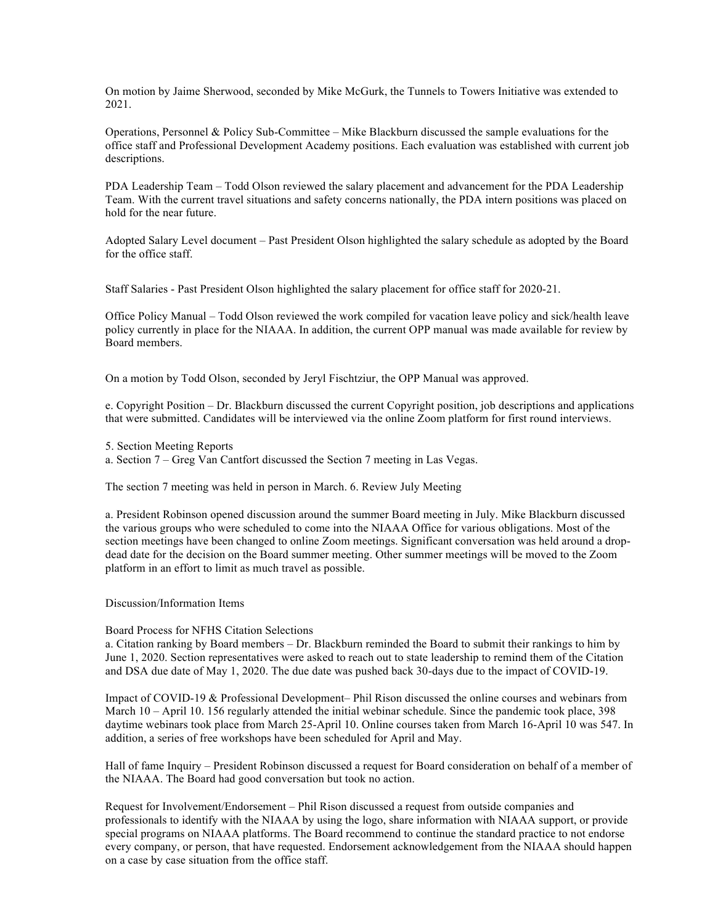On motion by Jaime Sherwood, seconded by Mike McGurk, the Tunnels to Towers Initiative was extended to 2021.

Operations, Personnel & Policy Sub-Committee – Mike Blackburn discussed the sample evaluations for the office staff and Professional Development Academy positions. Each evaluation was established with current job descriptions.

PDA Leadership Team – Todd Olson reviewed the salary placement and advancement for the PDA Leadership Team. With the current travel situations and safety concerns nationally, the PDA intern positions was placed on hold for the near future.

Adopted Salary Level document – Past President Olson highlighted the salary schedule as adopted by the Board for the office staff.

Staff Salaries - Past President Olson highlighted the salary placement for office staff for 2020-21.

Office Policy Manual – Todd Olson reviewed the work compiled for vacation leave policy and sick/health leave policy currently in place for the NIAAA. In addition, the current OPP manual was made available for review by Board members.

On a motion by Todd Olson, seconded by Jeryl Fischtziur, the OPP Manual was approved.

e. Copyright Position – Dr. Blackburn discussed the current Copyright position, job descriptions and applications that were submitted. Candidates will be interviewed via the online Zoom platform for first round interviews.

- 5. Section Meeting Reports
- a. Section 7 Greg Van Cantfort discussed the Section 7 meeting in Las Vegas.

The section 7 meeting was held in person in March. 6. Review July Meeting

a. President Robinson opened discussion around the summer Board meeting in July. Mike Blackburn discussed the various groups who were scheduled to come into the NIAAA Office for various obligations. Most of the section meetings have been changed to online Zoom meetings. Significant conversation was held around a dropdead date for the decision on the Board summer meeting. Other summer meetings will be moved to the Zoom platform in an effort to limit as much travel as possible.

Discussion/Information Items

### Board Process for NFHS Citation Selections

a. Citation ranking by Board members – Dr. Blackburn reminded the Board to submit their rankings to him by June 1, 2020. Section representatives were asked to reach out to state leadership to remind them of the Citation and DSA due date of May 1, 2020. The due date was pushed back 30-days due to the impact of COVID-19.

Impact of COVID-19 & Professional Development– Phil Rison discussed the online courses and webinars from March 10 – April 10. 156 regularly attended the initial webinar schedule. Since the pandemic took place, 398 daytime webinars took place from March 25-April 10. Online courses taken from March 16-April 10 was 547. In addition, a series of free workshops have been scheduled for April and May.

Hall of fame Inquiry – President Robinson discussed a request for Board consideration on behalf of a member of the NIAAA. The Board had good conversation but took no action.

Request for Involvement/Endorsement – Phil Rison discussed a request from outside companies and professionals to identify with the NIAAA by using the logo, share information with NIAAA support, or provide special programs on NIAAA platforms. The Board recommend to continue the standard practice to not endorse every company, or person, that have requested. Endorsement acknowledgement from the NIAAA should happen on a case by case situation from the office staff.